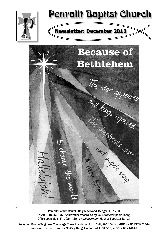

# Penrallt Baptist Church

## **Newsletter: December 2016**



Penrallt Baptist Church, Holyhead Road, Bangor LL57 2EU Tel:01248 353355; Email: office@penrallt.org; Website: www.penrallt.org Office open Mon-Fri 10am - 2pm; Administrator: Magnus Forrester-Barker

Secretary: Roshni Verghese, 2 Vicarage Close, Llandudno LL30 1PH; Tel: 07967 320048 / 01492 871444 Treasurer: Stephen Burrows, 39 Cil y Graig, Llanfairpwll LL61 5NZ; Tel: 01248 714048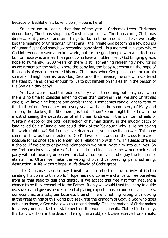Because of Bethlehem… Love is born, Hope is here!

So, here we are again, that time of the year – Christmas trees, Christmas decorations, Christmas shopping, Christmas presents, Christmas cards, Christmas dinner… so it goes, on and on! Things to do, no time to do it in… have we totally lost the meaning of Christmas? Christmas – the infinite God becoming a few pounds of human flesh; God somehow becoming baby-sized – is a moment in history where God intervened to save a broken world, not for the good people with a perfect past but for those who are less than good, who have a problem past; God bringing grace, hope to humanity. 2000 years on there is still something refreshingly new for us as we remember the stable where the baby lay, the baby representing the hope of thousands of years of recorded history; Christmas, when God pulled back the curtain so mankind might see his face. God, Creator of the universe, the one who scattered the stars by hand, cared enough for us to put himself on this earth in the person of His Son as a tiny baby!

Yet have we reduced this extraordinary event to nothing but 'busyness' when there is no time to consider anything other than partying? Yes, we sing Christmas carols; we have nine lessons and carols; there is sometimes candle light to capture the birth of our Redeemer and every year we hear the same story of Mary and Joseph, the donkey, the Shepherds; is that it then? Some might think how in the midst of seeing the devastation of all human kindness in the war torn streets of Western Aleppo or the total destruction of human dignity in the muddy patch of land called Calais' 'Jungle' one could think of the 'Saviour'? Why is He not saving the world right now? But I do believe, dear reader, you know the answer. This baby came to show us the full extent of God's love for us, and, on the cross to make it possible for us once again to enter into a relationship with him. This Jesus offers us a choice. If we are to enjoy this relationship we must invite him into our lives. So we find ourselves in a place of choice – do nothing, make the wrong choice and party without meaning or receive this baby into our lives and enjoy the fullness of eternal life. Often we make the wrong choice thus breeding pain, suffering, destruction; a life without hope; a life devoid of God's grace.

This Christmas season may I invite you to reflect on the activity of God in sending His Son into this world? Hope has now come – a chance to free ourselves from all that seek to dull and destroy if we accept this free gift from heaven; a chance to be fully reconciled to the Father. If only we would trust this baby to guide us, save us and give us peace instead of placing expectations on our political masters, our economic analysts, our business brains! There is nothing wrong with looking at the great things of this world but 'seek first the kingdom of God', a God who does not let us down, a God who loves us unconditionally. The incarnation of Christ makes for a very unusual fashion statement on the world's catwalk. Clothed in humility, this baby was born in the dead of the night in a cold, dark cave reserved for animals.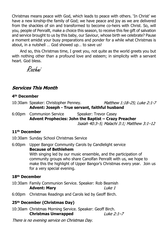Christmas means peace with God, which leads to peace with others. 'In Christ' we have a new kinship-the family of God; we have peace and joy as we are delivered from the shackles of sin and transformed to become co-heirs with Christ. So, will you, people of Penrallt, make a choice this season, to receive this fee gift of salvation and service brought to us by this baby, our Saviour, whose birth we celebrate? Pause a moment amidst your busy preparations and ponder for a while what Christmas is about, in a nutshell … God showed up… to save us!

And so, this Christmas time, I greet you, not quite as the world greets you but with nothing other than a profound love and esteem; in simplicity with a servant heart. God bless.

Roshni

#### **Services This Month**

#### **4th December**

- 10:30am Speaker: Christopher Penney. Matthew 1:18-25; Luke 2:1-7 **Advent: Joseph - True servant, faithful husband**
- 6:00pm Communion Service Speaker: Trevor Casey **Advent Prophecies: John the Baptist – Crazy Preacher**

#### Isaiah 40:3-5: Malachi 3:1: Matthew 3:1-12

#### **11th December**

10:30am Sunday School Christmas Service

6:00pm Upper Bangor Community Carols by Candlelight service **Because of Bethlehem** With singing led by our music ensemble, and the participation of community groups who share Canolfan Penrallt with us, we hope to make this the highlight of Upper Bangor's Christmas every year. Join us for a very special evening.

#### **18th December**

- 10:30am Family Communion Service. Speaker: Rob Beamish **Advent: Mary**  $like<sub>1</sub>$
- 6:00pm Christmas Readings and Carols led by Geoff Birch.

#### **25th December (Christmas Day)**

10:30am Christmas Morning Service. Speaker: Geoff Birch. **Christmas Unwrapped** Luke 2:1-7

There is no evening service on Christmas Day.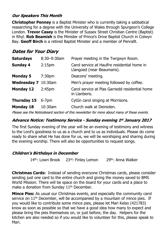#### **Our Speakers This Month**

**Christopher Penney** is a Baptist Minister who is currently taking a sabbatical researching for a degree with the University of Wales through Spurgeon's College London. **Trevor Casey** is the Minister of Sussex Street Christian Centre (Baptist) in Rhyl. **Rob Beamish** is the Minister of Prince's Drive Baptist Church in Colwyn Bay. **Geoff Birch** is a retired Baptist Minister and a member of Penrallt.

#### **Dates for Your Diary**

| <b>Saturdays</b>    | 8:30-9:30am        | Prayer meeting in the Twrgwyn Room.                                        |  |
|---------------------|--------------------|----------------------------------------------------------------------------|--|
| <b>Sunday 4</b>     | 2:15 <sub>pm</sub> | Carol service at Haulfre residential home in<br>Llangoed (near Beaumaris). |  |
| <b>Monday 5</b>     | 7:30 <sub>pm</sub> | Deacons' meeting.                                                          |  |
| Wednesday 7 10:30am |                    | Men's prayer meeting followed by coffee.                                   |  |
| <b>Monday 12</b>    | 2:45 <sub>pm</sub> | Carol service at Plas Garnedd residential home<br>in Llanberis.            |  |
| <b>Thursday 15</b>  | $6 - 7$ pm         | Cytûn carol singing at Morrisons.                                          |  |
| <b>Monday 18</b>    | 10:30am            | Church walk at Deiniolen.                                                  |  |
|                     |                    |                                                                            |  |

Please see the Noticeboard section of this newsletter for more about many of these events.

#### **Advance Notice: Testimony Service - Sunday evening 1st January 2017**

The first Sunday evening of the year will be an evening of testimony and witness to the Lord's goodness to us as a church and to us as individuals. Please do come ready to share what He has done for us, we will be worshiping and sharing during the evening worship. There will also be opportunities to request songs.

#### **Children's Birthdays in December**

14<sup>th</sup>: Lowri Brook 23<sup>rd</sup>: Finley Lemon 29<sup>th</sup>: Anna Walker

**Christmas Cards:** Instead of sending everyone Christmas cards, please consider sending just one card to the entire church and giving the money saved to BMS World Mission. There will be space on the board for your cards and a place to make a donation from Sunday 11<sup>th</sup> December.

**Mince Pies:** As usual our Christmas events, and especially the community carol service on 11<sup>th</sup> December, will be accompanied by a mountain of mince pies. If you would like to contribute some mince pies, please let Mari Kelso (421783) know as soon as possible so that we have a good idea how many to expect and please bring the pies themselves on, or just before, the day. Helpers for the kitchen are also needed so if you would like to volunteer for this, please speak to Mari.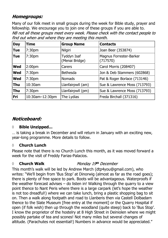#### **Homegroups:**

Many of our folk meet in small groups during the week for Bible study, prayer and fellowship. We encourage you to join one of these groups if you are able to.NB not all these groups meet every week. Please check with the contact people to find out when and where they are meeting this month.

| <b>Day</b> | <b>Time</b>        | <b>Group Name</b>             | <b>Contacts</b>                     |
|------------|--------------------|-------------------------------|-------------------------------------|
| <b>Tue</b> | 7:30 <sub>pm</sub> | Nilgiri                       | Joan Beer (353874)                  |
| <b>Tue</b> | 7:30pm             | Tyddyn Isaf<br>(Menai Bridge) | Magnus Forrester-Barker<br>(717570) |
| <b>Wed</b> | 2:00 <sub>pm</sub> | Carers                        | Carol Morris (208407)               |
| <b>Wed</b> | 7:30pm             | <b>Bethesda</b>               | Jon & Deb Stammers (602868)         |
| <b>Wed</b> | 7:30pm             | <b>Nomads</b>                 | Pat & Roger Borlace (713146)        |
| <b>Thu</b> | $10:30$ am         | Llanfairpwll (am)             | Sue & Lawrence Moss (713793)        |
| <b>Thu</b> | 7:30 <sub>pm</sub> | Llanfairpwll (pm)             | Sue & Lawrence Moss (713793)        |
| Fri        | 10:30am-12:30pm    | The Lydias                    | Freda Birchall (371316)             |

#### Noticeboard:

#### *◊* **Bible Unzipped...**

… is taking a break in December and will return in January with an exciting new, year-long programme. More details to follow.

#### **◊ Church Lunch**

Please note that there is no Church Lunch this month, as it was moved forward a week for the visit of Freddy Farias-Palacios.

#### *◊* **Church Walk** Monday 19th December

This month's walk will be led by Andrew March (dtp4you@gmail.com), who writes: "We'll begin from 'Bus Stop' at Dinorwig (almost as far as the road goes); there is plenty of free space to park. Boots will be advantageous. Waterproofs if the weather forecast advises – do listen in! Walking through the quarry to a view point thence to Nant Peris where there is a large carpark (let's hope the weather is not too dreadful!) where we can take lunch, bring a plastic shopping bag to sit on. Then a walk along footpath and road to Llanberis then via Castell Dolbadarn thence to the Slate Museum [free entry at the moment] or the Quarry Hospital if open (if folk wish) then up through the woodland (quite steep) back to 'Bus Stop'. I know the proprietor of the hostelry at 8 High Street in Deiniolen where we might possibly partake of tea and scones! Not many miles but several changes of altitude. (Parachutes not essential!) Numbers in advance would be appreciated."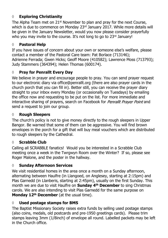#### **◊ Exploring Christianity**

The Alpha Team met on  $21<sup>st</sup>$  November to plan and pray for the next Course, which is due to commence on Monday 23rd January 2017. While more details will be given in the January Newsletter, would you now please consider prayerfully who you may invite to the course. It's not long to go to 23rd January!

#### **◊ Pastoral Help**

If you have issues of concern about your own or someone else's welfare, please contact a member of the Pastoral Care team: Pat Borlace (713146); Adrienne Ferrada; Gwen Hicks; Geoff Moore (410582); Lawrence Moss (713793); Judy Stammers (364394); Helen Thomas (600174).

#### **◊ Pray for Penrallt Every Day**

We believe in prayer and encourage people to pray. You can send prayer request to our electronic diary via office@penrallt.org (there are also prayer cards in the church porch that you can fill in). Better still, you can receive the prayer diary straight to your inbox every Monday (or occasionally on Tuesdays) by emailing the office now and requesting to be put on the list. For more immediate and interactive sharing of prayers, search on Facebook for Penrallt Prayer Point and send a request to join our group.

#### **◊ Rough Sleepers**

The church's policy is not to give money directly to the rough sleepers in Upper Bangor. Be warned that some of them can be aggressive. You will find brown envelopes in the porch for a gift that will buy meal vouchers which are distributed to rough sleepers by the Cathedral.

#### **◊ Scrabble Club**

Calling all SCRABBLE fanatics! Would you be interested in a Scrabble Club meeting once a week in the Twrgwyn Room over the Winter? If so, please see Roger Malone, and the poster in the hallway.

#### **◊ Sunday Afternoon Services**

We visit residential homes in the area once a month on a Sunday afternoon, alternating between Haulfre (in Llangoed, on Anglesey, starting at 2:15pm) and Plas Garnedd (in Llanberis, starting at 2:45pm), usually on the first Sunday. This month we are due to visit Haulfre on **Sunday 4th December** to sing Christmas carols. We are also intending to visit Plas Garnedd for the same purpose on **Monday 12th December** (at the usual time).

#### **◊ Used postage stamps for BMS**

The Baptist Missionary Society raises extra funds by selling used postage stamps (also coins, medals, old postcards and pre-1950 greetings cards). Please trim stamps leaving 3mm (1/8inch) of envelope all round. Labelled packets may be left in the Church office.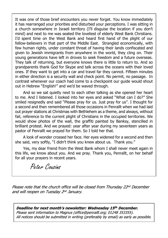It was one of those brief encounters you never forget. You know immediately it has rearranged your priorities and disturbed your perceptions. I was sitting in a church somewhere in Israeli territory (I'll disguise the location if you don't mind) and next to me was seated the loveliest of elderly West Bank Christians. I'd spent time on the West Bank and heard first hand of the plight of our fellow-believers in that part of the Middle East. Strangled economically, with few human rights, under constant threat of having their lands confiscated and given to Jewish immigrants from anywhere in the world, they cling on. Their young generations have left in droves to seek freedom and a future overseas. They talk of returning, but everyone knows there is little to return to. And so grandparents thank God for Skype and talk across the oceans with their loved ones. If they want to get into a car and travel far they cannot. Fifteen minutes in either direction is a security wall and check point. No permit, no passage. In contrast whenever our coach had come to a checkpoint our guide would shout out in Hebrew "English!" and we'd be waved through.

And so we sat quietly next to each other talking as she opened her heart to me. And I listened. I looked into her eyes and asked "What can I do?" She smiled resignedly and said "Please pray for us. Just pray for us". I thought for a second and then remembered all those occasions in Penrallt when we had laid out prayer stations at Christmas with Bethlehem as a theme, and always, without fail, reference to the current plight of Christians in the occupied territories. We would show photos of the wall, the graffiti painted by Banksy, stencilled in brilliant protest. And we prayed: year after year during my seventeen years as pastor of Penrallt we prayed for them. So I told her that.

A look of wonder crossed her face. Her eyes widened for a second and then she said, very softly, "I didn't think you knew about us. Thank you."

Yes, my dear friend from the West Bank whom I shall never meet again in this life, we know about you. And we pray. Thank you, Penrallt, on her behalf for all your prayers in recent years.

Peter Cousins

Please note that the church office will be closed from Thursday 22nd December and will reopen on Tuesday 2nd January.

Deadline for next month's newsletter: Wednesday 15th December. Please sent information to Magnus (office@penrallt.org; 01248 353355). All notices should be submitted in writing (preferably by email) as early as possible.